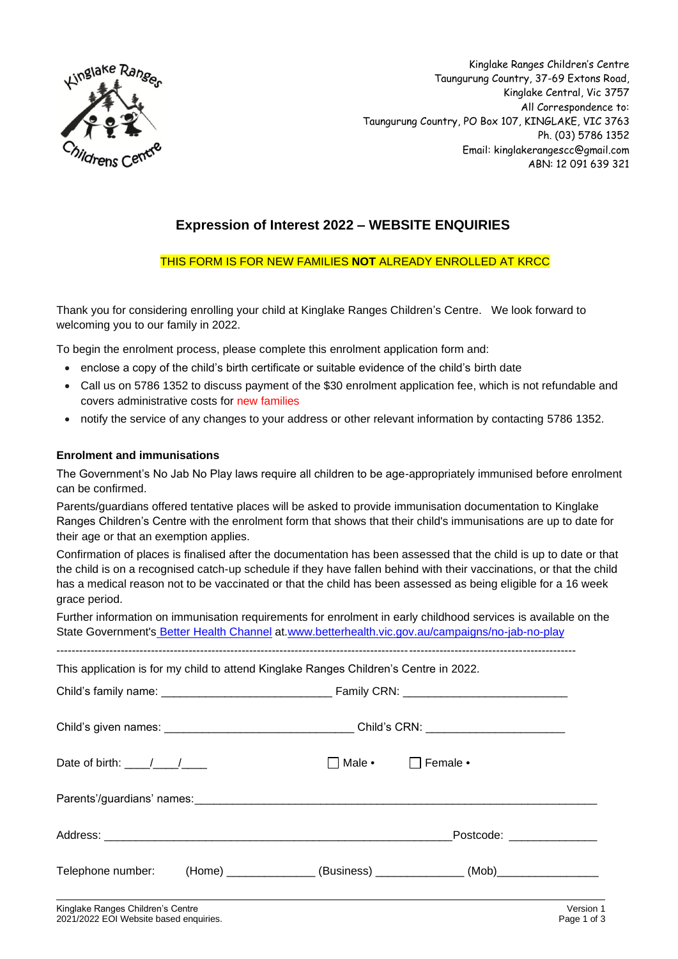

Kinglake Ranges Children's Centre Taungurung Country, 37-69 Extons Road, Kinglake Central, Vic 3757 All Correspondence to: Taungurung Country, PO Box 107, KINGLAKE, VIC 3763 Ph. (03) 5786 1352 Email: kinglakerangescc@gmail.com ABN: 12 091 639 321

# **Expression of Interest 2022 – WEBSITE ENQUIRIES**

## THIS FORM IS FOR NEW FAMILIES **NOT** ALREADY ENROLLED AT KRCC

Thank you for considering enrolling your child at Kinglake Ranges Children's Centre. We look forward to welcoming you to our family in 2022.

To begin the enrolment process, please complete this enrolment application form and:

- enclose a copy of the child's birth certificate or suitable evidence of the child's birth date
- Call us on 5786 1352 to discuss payment of the \$30 enrolment application fee, which is not refundable and covers administrative costs for new families
- notify the service of any changes to your address or other relevant information by contacting 5786 1352.

### **Enrolment and immunisations**

The Government's No Jab No Play laws require all children to be age-appropriately immunised before enrolment can be confirmed.

Parents/guardians offered tentative places will be asked to provide immunisation documentation to Kinglake Ranges Children's Centre with the enrolment form that shows that their child's immunisations are up to date for their age or that an exemption applies.

Confirmation of places is finalised after the documentation has been assessed that the child is up to date or that the child is on a recognised catch-up schedule if they have fallen behind with their vaccinations, or that the child has a medical reason not to be vaccinated or that the child has been assessed as being eligible for a 16 week grace period.

Further information on immunisation requirements for enrolment in early childhood services is available on the State Government's [Better Health Channel](https://www.betterhealth.vic.gov.au/) at[.www.betterhealth.vic.gov.au/campaigns/no-jab-no-play](https://www.betterhealth.vic.gov.au/campaigns/no-jab-no-play)

-----------------------------------------------------------------------------------------------------------------------------------------

This application is for my child to attend Kinglake Ranges Children's Centre in 2022.

| Date of birth: $\frac{1}{\sqrt{1-\frac{1}{2}}}$ | <b>Nale</b> • | Female •                                                                         |  |
|-------------------------------------------------|---------------|----------------------------------------------------------------------------------|--|
|                                                 |               |                                                                                  |  |
|                                                 |               | Postcode: _______________                                                        |  |
| Telephone number:                               |               | (Home) _________________(Business) _______________(Mob)_________________________ |  |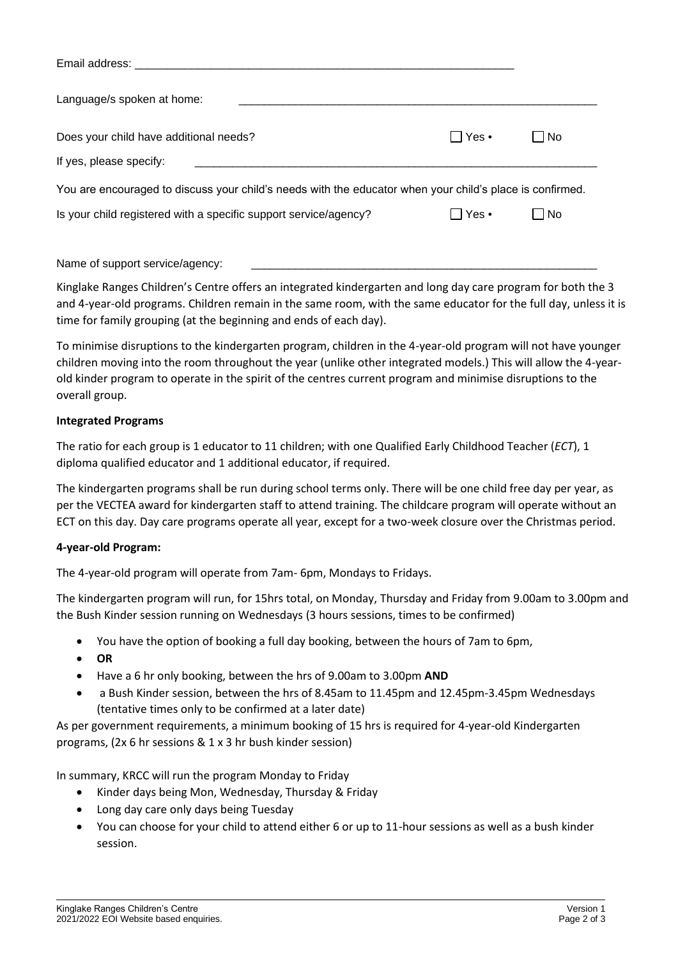| Email address:                                                                                           |           |           |
|----------------------------------------------------------------------------------------------------------|-----------|-----------|
| Language/s spoken at home:                                                                               |           |           |
| Does your child have additional needs?                                                                   | ∣ I Yes • | <b>No</b> |
| If yes, please specify:                                                                                  |           |           |
| You are encouraged to discuss your child's needs with the educator when your child's place is confirmed. |           |           |
| Is your child registered with a specific support service/agency?                                         | ∣ IYes•   | <b>No</b> |
|                                                                                                          |           |           |

Name of support service/agency:

Kinglake Ranges Children's Centre offers an integrated kindergarten and long day care program for both the 3 and 4-year-old programs. Children remain in the same room, with the same educator for the full day, unless it is time for family grouping (at the beginning and ends of each day).

To minimise disruptions to the kindergarten program, children in the 4-year-old program will not have younger children moving into the room throughout the year (unlike other integrated models.) This will allow the 4-yearold kinder program to operate in the spirit of the centres current program and minimise disruptions to the overall group.

## **Integrated Programs**

The ratio for each group is 1 educator to 11 children; with one Qualified Early Childhood Teacher (*ECT*), 1 diploma qualified educator and 1 additional educator, if required.

The kindergarten programs shall be run during school terms only. There will be one child free day per year, as per the VECTEA award for kindergarten staff to attend training. The childcare program will operate without an ECT on this day. Day care programs operate all year, except for a two-week closure over the Christmas period.

# **4-year-old Program:**

The 4-year-old program will operate from 7am- 6pm, Mondays to Fridays.

The kindergarten program will run, for 15hrs total, on Monday, Thursday and Friday from 9.00am to 3.00pm and the Bush Kinder session running on Wednesdays (3 hours sessions, times to be confirmed)

- You have the option of booking a full day booking, between the hours of 7am to 6pm,
- **OR**
- Have a 6 hr only booking, between the hrs of 9.00am to 3.00pm **AND**
- a Bush Kinder session, between the hrs of 8.45am to 11.45pm and 12.45pm-3.45pm Wednesdays (tentative times only to be confirmed at a later date)

As per government requirements, a minimum booking of 15 hrs is required for 4-year-old Kindergarten programs, (2x 6 hr sessions & 1 x 3 hr bush kinder session)

In summary, KRCC will run the program Monday to Friday

- Kinder days being Mon, Wednesday, Thursday & Friday
- Long day care only days being Tuesday
- You can choose for your child to attend either 6 or up to 11-hour sessions as well as a bush kinder session.